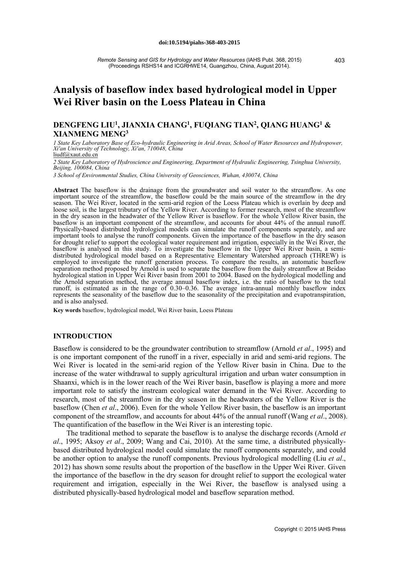# **Analysis of baseflow index based hydrological model in Upper Wei River basin on the Loess Plateau in China**

# **DENGFENG LIU1, JIANXIA CHANG1, FUQIANG TIAN2, QIANG HUANG1 & XIANMENG MENG3**

*1 State Key Laboratory Base of Eco-hydraulic Engineering in Arid Areas, School of Water Resources and Hydropower, Xi'an University of Technology, Xi'an, 710048, China* liudf@xaut.edu.cn

*2 State Key Laboratory of Hydroscience and Engineering, Department of Hydraulic Engineering, Tsinghua University, Beijing, 100084, China*

*3 School of Environmental Studies, China University of Geosciences, Wuhan, 430074, China*

**Abstract** The baseflow is the drainage from the groundwater and soil water to the streamflow. As one important source of the streamflow, the baseflow could be the main source of the streamflow in the dry season. The Wei River, located in the semi-arid region of the Loess Plateau which is overlain by deep and loose soil, is the largest tributary of the Yellow River. According to former research, most of the streamflow in the dry season in the headwater of the Yellow River is baseflow. For the whole Yellow River basin, the baseflow is an important component of the streamflow, and accounts for about 44% of the annual runoff. Physically-based distributed hydrological models can simulate the runoff components separately, and are important tools to analyse the runoff components. Given the importance of the baseflow in the dry season for drought relief to support the ecological water requirement and irrigation, especially in the Wei River, the baseflow is analysed in this study. To investigate the baseflow in the Upper Wei River basin, a semibaseflow is analysed in this study. To investigate the baseflow in the Upper Wei River basin, a semi- distributed hydrological model based on a Representative Elementary Watershed approach (THREW) is employed to investigate the runoff generation process. To compare the results, an automatic baseflow separation method proposed by Arnold is used to separate the baseflow from the daily streamflow at Beidao hydrological station in Upper Wei River basin from 2001 to 2004. Based on the hydrological modelling and the Arnold separation method, the average annual baseflow index, i.e. the ratio of baseflow to the total runoff, is estimated as in the range of 0.30–0.36. The average intra-annual monthly baseflow index represents the seasonality of the baseflow due to the seasonality of the precipitation and evapotranspiration, and is also analysed.

**Key words** baseflow, hydrological model, Wei River basin, Loess Plateau

### **INTRODUCTION**

Baseflow is considered to be the groundwater contribution to streamflow (Arnold *et al*., 1995) and is one important component of the runoff in a river, especially in arid and semi-arid regions. The Wei River is located in the semi-arid region of the Yellow River basin in China. Due to the increase of the water withdrawal to supply agricultural irrigation and urban water consumption in Shaanxi, which is in the lower reach of the Wei River basin, baseflow is playing a more and more important role to satisfy the instream ecological water demand in the Wei River. According to research, most of the streamflow in the dry season in the headwaters of the Yellow River is the baseflow (Chen *et al*., 2006). Even for the whole Yellow River basin, the baseflow is an important component of the streamflow, and accounts for about 44% of the annual runoff (Wang *et al*., 2008). The quantification of the baseflow in the Wei River is an interesting topic.

The traditional method to separate the baseflow is to analyse the discharge records (Arnold *et al*., 1995; Aksoy *et al*., 2009; Wang and Cai, 2010). At the same time, a distributed physicallybased distributed hydrological model could simulate the runoff components separately, and could be another option to analyse the runoff components. Previous hydrological modelling (Liu *et al*., 2012) has shown some results about the proportion of the baseflow in the Upper Wei River. Given the importance of the baseflow in the dry season for drought relief to support the ecological water requirement and irrigation, especially in the Wei River, the baseflow is analysed using a distributed physically-based hydrological model and baseflow separation method.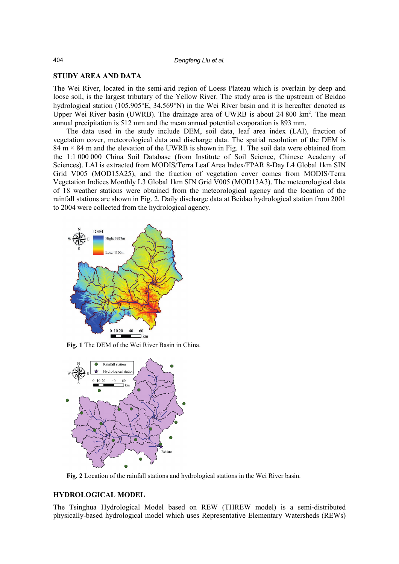#### **STUDY AREA AND DATA**

The Wei River, located in the semi-arid region of Loess Plateau which is overlain by deep and loose soil, is the largest tributary of the Yellow River. The study area is the upstream of Beidao hydrological station (105.905°E, 34.569°N) in the Wei River basin and it is hereafter denoted as Upper Wei River basin (UWRB). The drainage area of UWRB is about 24 800 km<sup>2</sup>. The mean annual precipitation is 512 mm and the mean annual potential evaporation is 893 mm.

The data used in the study include DEM, soil data, leaf area index (LAI), fraction of vegetation cover, meteorological data and discharge data. The spatial resolution of the DEM is 84 m  $\times$  84 m and the elevation of the UWRB is shown in Fig. 1. The soil data were obtained from the 1:1 000 000 China Soil Database (from Institute of Soil Science, Chinese Academy of Sciences). LAI is extracted from MODIS/Terra Leaf Area Index/FPAR 8-Day L4 Global 1km SIN Grid V005 (MOD15A25), and the fraction of vegetation cover comes from MODIS/Terra Vegetation Indices Monthly L3 Global 1km SIN Grid V005 (MOD13A3). The meteorological data of 18 weather stations were obtained from the meteorological agency and the location of the rainfall stations are shown in Fig. 2. Daily discharge data at Beidao hydrological station from 2001 to 2004 were collected from the hydrological agency.



**Fig. 1** The DEM of the Wei River Basin in China.



**Fig. 2** Location of the rainfall stations and hydrological stations in the Wei River basin.

## **HYDROLOGICAL MODEL**

The Tsinghua Hydrological Model based on REW (THREW model) is a semi-distributed physically-based hydrological model which uses Representative Elementary Watersheds (REWs)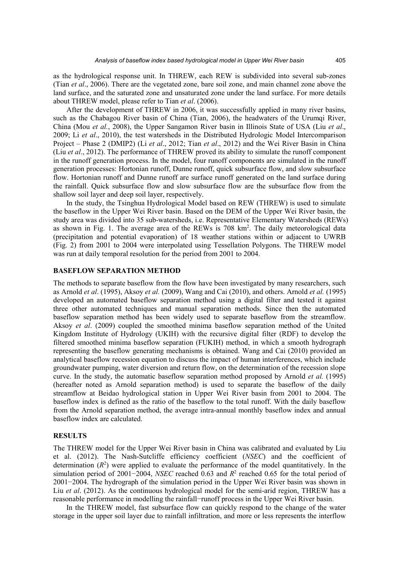as the hydrological response unit. In THREW, each REW is subdivided into several sub-zones (Tian *et al*., 2006). There are the vegetated zone, bare soil zone, and main channel zone above the land surface, and the saturated zone and unsaturated zone under the land surface. For more details about THREW model, please refer to Tian *et al*. (2006).

After the development of THREW in 2006, it was successfully applied in many river basins, such as the Chabagou River basin of China (Tian, 2006), the headwaters of the Urumqi River, China (Mou *et al.*, 2008), the Upper Sangamon River basin in Illinois State of USA (Liu *et al*., 2009; Li *et al*., 2010), the test watersheds in the Distributed Hydrologic Model Intercomparison Project – Phase 2 (DMIP2) (Li *et al*., 2012; Tian *et al*., 2012) and the Wei River Basin in China (Liu *et al*., 2012). The performance of THREW proved its ability to simulate the runoff component in the runoff generation process. In the model, four runoff components are simulated in the runoff generation processes: Hortonian runoff, Dunne runoff, quick subsurface flow, and slow subsurface flow. Hortonian runoff and Dunne runoff are surface runoff generated on the land surface during the rainfall. Quick subsurface flow and slow subsurface flow are the subsurface flow from the shallow soil layer and deep soil layer, respectively.

In the study, the Tsinghua Hydrological Model based on REW (THREW) is used to simulate the baseflow in the Upper Wei River basin. Based on the DEM of the Upper Wei River basin, the study area was divided into 35 sub-watersheds, i.e. Representative Elementary Watersheds (REWs) as shown in Fig. 1. The average area of the REWs is 708 km<sup>2</sup>. The daily meteorological data (precipitation and potential evaporation) of 18 weather stations within or adjacent to UWRB (Fig. 2) from 2001 to 2004 were interpolated using Tessellation Polygons. The THREW model was run at daily temporal resolution for the period from 2001 to 2004.

### **BASEFLOW SEPARATION METHOD**

The methods to separate baseflow from the flow have been investigated by many researchers, such as Arnold *et al*. (1995), Aksoy *et al.* (2009), Wang and Cai (2010), and others. Arnold *et al.* (1995) developed an automated baseflow separation method using a digital filter and tested it against three other automated techniques and manual separation methods. Since then the automated baseflow separation method has been widely used to separate baseflow from the streamflow. Aksoy *et al*. (2009) coupled the smoothed minima baseflow separation method of the United Kingdom Institute of Hydrology (UKIH) with the recursive digital filter (RDF) to develop the filtered smoothed minima baseflow separation (FUKIH) method, in which a smooth hydrograph representing the baseflow generating mechanisms is obtained. Wang and Cai (2010) provided an analytical baseflow recession equation to discuss the impact of human interferences, which include groundwater pumping, water diversion and return flow, on the determination of the recession slope curve. In the study, the automatic baseflow separation method proposed by Arnold *et al.* (1995) (hereafter noted as Arnold separation method) is used to separate the baseflow of the daily streamflow at Beidao hydrological station in Upper Wei River basin from 2001 to 2004. The baseflow index is defined as the ratio of the baseflow to the total runoff. With the daily baseflow from the Arnold separation method, the average intra-annual monthly baseflow index and annual baseflow index are calculated.

### **RESULTS**

The THREW model for the Upper Wei River basin in China was calibrated and evaluated by Liu et al. (2012). The Nash-Sutcliffe efficiency coefficient (*NSEC*) and the coefficient of determination  $(R^2)$  were applied to evaluate the performance of the model quantitatively. In the simulation period of 2001−2004, *NSEC* reached 0.63 and *R*<sup>2</sup> reached 0.65 for the total period of 2001−2004. The hydrograph of the simulation period in the Upper Wei River basin was shown in Liu *et al.* (2012). As the continuous hydrological model for the semi-arid region, THREW has a reasonable performance in modelling the rainfall−runoff process in the Upper Wei River basin.

In the THREW model, fast subsurface flow can quickly respond to the change of the water storage in the upper soil layer due to rainfall infiltration, and more or less represents the interflow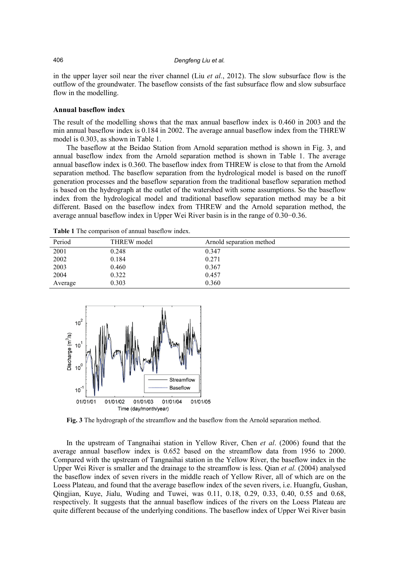in the upper layer soil near the river channel (Liu *et al.*, 2012). The slow subsurface flow is the outflow of the groundwater. The baseflow consists of the fast subsurface flow and slow subsurface flow in the modelling.

#### **Annual baseflow index**

The result of the modelling shows that the max annual baseflow index is 0.460 in 2003 and the min annual baseflow index is 0.184 in 2002. The average annual baseflow index from the THREW model is 0.303, as shown in Table 1.

The baseflow at the Beidao Station from Arnold separation method is shown in Fig. 3, and annual baseflow index from the Arnold separation method is shown in Table 1. The average annual baseflow index is 0.360. The baseflow index from THREW is close to that from the Arnold separation method. The baseflow separation from the hydrological model is based on the runoff generation processes and the baseflow separation from the traditional baseflow separation method is based on the hydrograph at the outlet of the watershed with some assumptions. So the baseflow index from the hydrological model and traditional baseflow separation method may be a bit different. Based on the baseflow index from THREW and the Arnold separation method, the average annual baseflow index in Upper Wei River basin is in the range of 0.30−0.36.

| Period  | THREW model | Arnold separation method |  |
|---------|-------------|--------------------------|--|
| 2001    | 0.248       | 0.347                    |  |
| 2002    | 0.184       | 0.271                    |  |
| 2003    | 0.460       | 0.367                    |  |
| 2004    | 0.322       | 0.457                    |  |
| Average | 0.303       | 0.360                    |  |

**Table 1** The comparison of annual baseflow index.



**Fig. 3** The hydrograph of the streamflow and the baseflow from the Arnold separation method.

In the upstream of Tangnaihai station in Yellow River, Chen *et al*. (2006) found that the average annual baseflow index is 0.652 based on the streamflow data from 1956 to 2000. Compared with the upstream of Tangnaihai station in the Yellow River, the baseflow index in the Upper Wei River is smaller and the drainage to the streamflow is less. Qian *et al.* (2004) analysed the baseflow index of seven rivers in the middle reach of Yellow River, all of which are on the Loess Plateau, and found that the average baseflow index of the seven rivers, i.e. Huangfu, Gushan, Qingjian, Kuye, Jialu, Wuding and Tuwei, was 0.11, 0.18, 0.29, 0.33, 0.40, 0.55 and 0.68, respectively. It suggests that the annual baseflow indices of the rivers on the Loess Plateau are quite different because of the underlying conditions. The baseflow index of Upper Wei River basin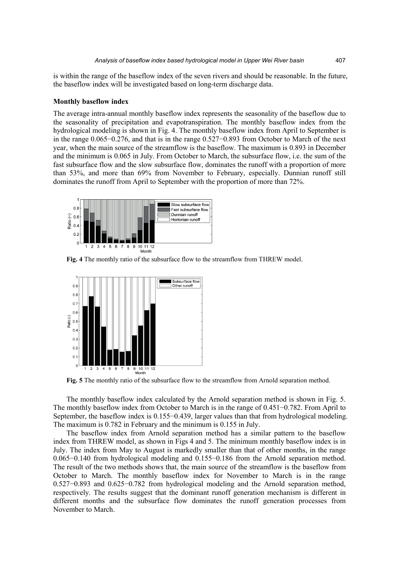is within the range of the baseflow index of the seven rivers and should be reasonable. In the future, the baseflow index will be investigated based on long-term discharge data.

#### **Monthly baseflow index**

The average intra-annual monthly baseflow index represents the seasonality of the baseflow due to the seasonality of precipitation and evapotranspiration. The monthly baseflow index from the hydrological modeling is shown in Fig. 4. The monthly baseflow index from April to September is in the range 0.065−0.276, and that is in the range 0.527−0.893 from October to March of the next year, when the main source of the streamflow is the baseflow. The maximum is 0.893 in December and the minimum is 0.065 in July. From October to March, the subsurface flow, i.e. the sum of the fast subsurface flow and the slow subsurface flow, dominates the runoff with a proportion of more than 53%, and more than 69% from November to February, especially. Dunnian runoff still dominates the runoff from April to September with the proportion of more than 72%.



**Fig. 4** The monthly ratio of the subsurface flow to the streamflow from THREW model.



**Fig. 5** The monthly ratio of the subsurface flow to the streamflow from Arnold separation method.

The monthly baseflow index calculated by the Arnold separation method is shown in Fig. 5. The monthly baseflow index from October to March is in the range of 0.451−0.782. From April to September, the baseflow index is 0.155−0.439, larger values than that from hydrological modeling. The maximum is 0.782 in February and the minimum is 0.155 in July.

The baseflow index from Arnold separation method has a similar pattern to the baseflow index from THREW model, as shown in Figs 4 and 5. The minimum monthly baseflow index is in July. The index from May to August is markedly smaller than that of other months, in the range 0.065−0.140 from hydrological modeling and 0.155−0.186 from the Arnold separation method. The result of the two methods shows that, the main source of the streamflow is the baseflow from October to March. The monthly baseflow index for November to March is in the range 0.527−0.893 and 0.625−0.782 from hydrological modeling and the Arnold separation method, respectively. The results suggest that the dominant runoff generation mechanism is different in different months and the subsurface flow dominates the runoff generation processes from November to March.